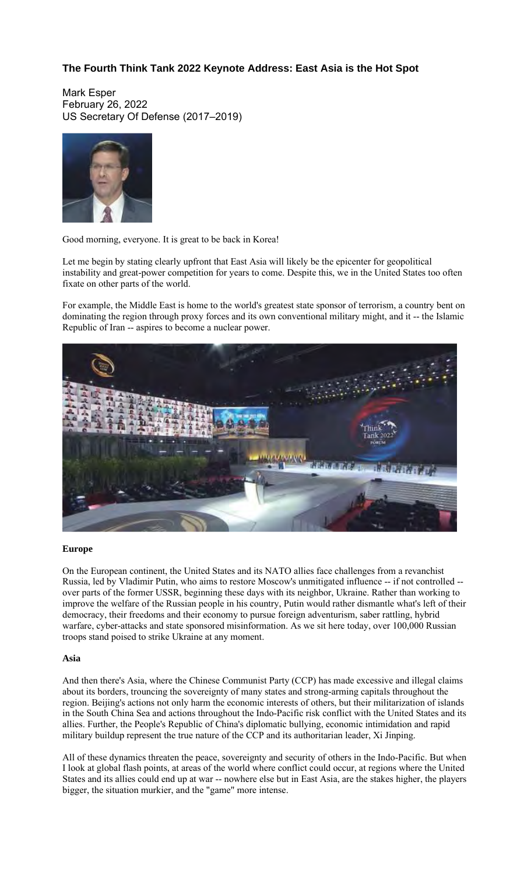# **The Fourth Think Tank 2022 Keynote Address: East Asia is the Hot Spot**

Mark Esper February 26, 2022 US Secretary Of Defense (2017–2019)



Good morning, everyone. It is great to be back in Korea!

Let me begin by stating clearly upfront that East Asia will likely be the epicenter for geopolitical instability and great-power competition for years to come. Despite this, we in the United States too often fixate on other parts of the world.

For example, the Middle East is home to the world's greatest state sponsor of terrorism, a country bent on dominating the region through proxy forces and its own conventional military might, and it -- the Islamic Republic of Iran -- aspires to become a nuclear power.



#### **Europe**

On the European continent, the United States and its NATO allies face challenges from a revanchist Russia, led by Vladimir Putin, who aims to restore Moscow's unmitigated influence -- if not controlled - over parts of the former USSR, beginning these days with its neighbor, Ukraine. Rather than working to improve the welfare of the Russian people in his country, Putin would rather dismantle what's left of their democracy, their freedoms and their economy to pursue foreign adventurism, saber rattling, hybrid warfare, cyber-attacks and state sponsored misinformation. As we sit here today, over 100,000 Russian troops stand poised to strike Ukraine at any moment.

### **Asia**

And then there's Asia, where the Chinese Communist Party (CCP) has made excessive and illegal claims about its borders, trouncing the sovereignty of many states and strong-arming capitals throughout the region. Beijing's actions not only harm the economic interests of others, but their militarization of islands in the South China Sea and actions throughout the Indo-Pacific risk conflict with the United States and its allies. Further, the People's Republic of China's diplomatic bullying, economic intimidation and rapid military buildup represent the true nature of the CCP and its authoritarian leader, Xi Jinping.

All of these dynamics threaten the peace, sovereignty and security of others in the Indo-Pacific. But when I look at global flash points, at areas of the world where conflict could occur, at regions where the United States and its allies could end up at war -- nowhere else but in East Asia, are the stakes higher, the players bigger, the situation murkier, and the "game" more intense.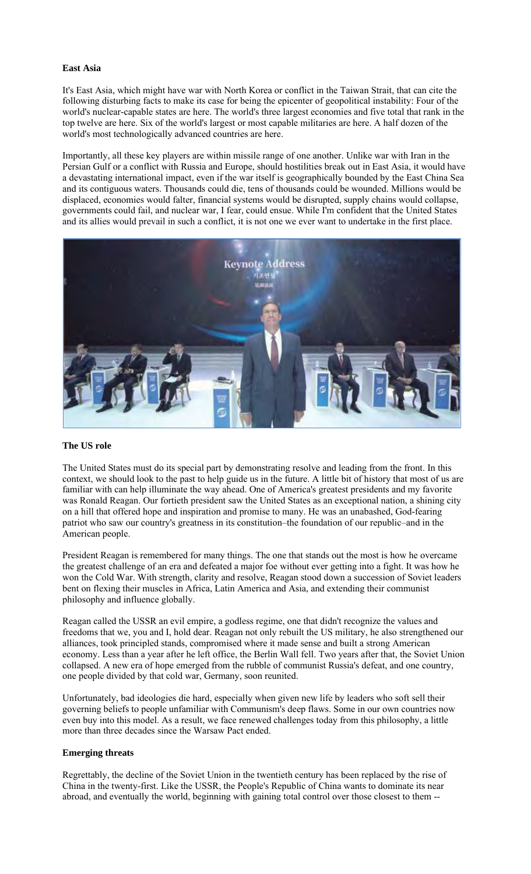#### **East Asia**

It's East Asia, which might have war with North Korea or conflict in the Taiwan Strait, that can cite the following disturbing facts to make its case for being the epicenter of geopolitical instability: Four of the world's nuclear-capable states are here. The world's three largest economies and five total that rank in the top twelve are here. Six of the world's largest or most capable militaries are here. A half dozen of the world's most technologically advanced countries are here.

Importantly, all these key players are within missile range of one another. Unlike war with Iran in the Persian Gulf or a conflict with Russia and Europe, should hostilities break out in East Asia, it would have a devastating international impact, even if the war itself is geographically bounded by the East China Sea and its contiguous waters. Thousands could die, tens of thousands could be wounded. Millions would be displaced, economies would falter, financial systems would be disrupted, supply chains would collapse, governments could fail, and nuclear war, I fear, could ensue. While I'm confident that the United States and its allies would prevail in such a conflict, it is not one we ever want to undertake in the first place.



#### **The US role**

The United States must do its special part by demonstrating resolve and leading from the front. In this context, we should look to the past to help guide us in the future. A little bit of history that most of us are familiar with can help illuminate the way ahead. One of America's greatest presidents and my favorite was Ronald Reagan. Our fortieth president saw the United States as an exceptional nation, a shining city on a hill that offered hope and inspiration and promise to many. He was an unabashed, God-fearing patriot who saw our country's greatness in its constitution–the foundation of our republic–and in the American people.

President Reagan is remembered for many things. The one that stands out the most is how he overcame the greatest challenge of an era and defeated a major foe without ever getting into a fight. It was how he won the Cold War. With strength, clarity and resolve, Reagan stood down a succession of Soviet leaders bent on flexing their muscles in Africa, Latin America and Asia, and extending their communist philosophy and influence globally.

Reagan called the USSR an evil empire, a godless regime, one that didn't recognize the values and freedoms that we, you and I, hold dear. Reagan not only rebuilt the US military, he also strengthened our alliances, took principled stands, compromised where it made sense and built a strong American economy. Less than a year after he left office, the Berlin Wall fell. Two years after that, the Soviet Union collapsed. A new era of hope emerged from the rubble of communist Russia's defeat, and one country, one people divided by that cold war, Germany, soon reunited.

Unfortunately, bad ideologies die hard, especially when given new life by leaders who soft sell their governing beliefs to people unfamiliar with Communism's deep flaws. Some in our own countries now even buy into this model. As a result, we face renewed challenges today from this philosophy, a little more than three decades since the Warsaw Pact ended.

### **Emerging threats**

Regrettably, the decline of the Soviet Union in the twentieth century has been replaced by the rise of China in the twenty-first. Like the USSR, the People's Republic of China wants to dominate its near abroad, and eventually the world, beginning with gaining total control over those closest to them --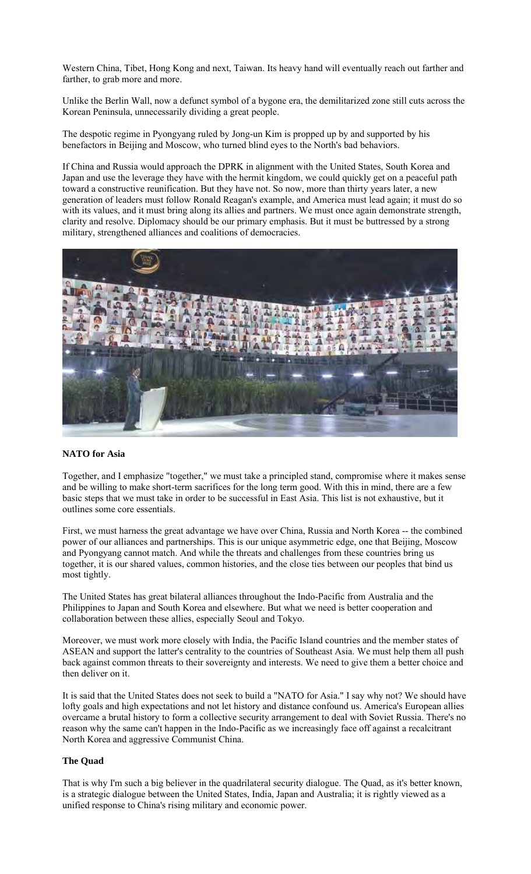Western China, Tibet, Hong Kong and next, Taiwan. Its heavy hand will eventually reach out farther and farther, to grab more and more.

Unlike the Berlin Wall, now a defunct symbol of a bygone era, the demilitarized zone still cuts across the Korean Peninsula, unnecessarily dividing a great people.

The despotic regime in Pyongyang ruled by Jong-un Kim is propped up by and supported by his benefactors in Beijing and Moscow, who turned blind eyes to the North's bad behaviors.

If China and Russia would approach the DPRK in alignment with the United States, South Korea and Japan and use the leverage they have with the hermit kingdom, we could quickly get on a peaceful path toward a constructive reunification. But they have not. So now, more than thirty years later, a new generation of leaders must follow Ronald Reagan's example, and America must lead again; it must do so with its values, and it must bring along its allies and partners. We must once again demonstrate strength, clarity and resolve. Diplomacy should be our primary emphasis. But it must be buttressed by a strong military, strengthened alliances and coalitions of democracies.



## **NATO for Asia**

Together, and I emphasize "together," we must take a principled stand, compromise where it makes sense and be willing to make short-term sacrifices for the long term good. With this in mind, there are a few basic steps that we must take in order to be successful in East Asia. This list is not exhaustive, but it outlines some core essentials.

First, we must harness the great advantage we have over China, Russia and North Korea -- the combined power of our alliances and partnerships. This is our unique asymmetric edge, one that Beijing, Moscow and Pyongyang cannot match. And while the threats and challenges from these countries bring us together, it is our shared values, common histories, and the close ties between our peoples that bind us most tightly.

The United States has great bilateral alliances throughout the Indo-Pacific from Australia and the Philippines to Japan and South Korea and elsewhere. But what we need is better cooperation and collaboration between these allies, especially Seoul and Tokyo.

Moreover, we must work more closely with India, the Pacific Island countries and the member states of ASEAN and support the latter's centrality to the countries of Southeast Asia. We must help them all push back against common threats to their sovereignty and interests. We need to give them a better choice and then deliver on it.

It is said that the United States does not seek to build a "NATO for Asia." I say why not? We should have lofty goals and high expectations and not let history and distance confound us. America's European allies overcame a brutal history to form a collective security arrangement to deal with Soviet Russia. There's no reason why the same can't happen in the Indo-Pacific as we increasingly face off against a recalcitrant North Korea and aggressive Communist China.

#### **The Quad**

That is why I'm such a big believer in the quadrilateral security dialogue. The Quad, as it's better known, is a strategic dialogue between the United States, India, Japan and Australia; it is rightly viewed as a unified response to China's rising military and economic power.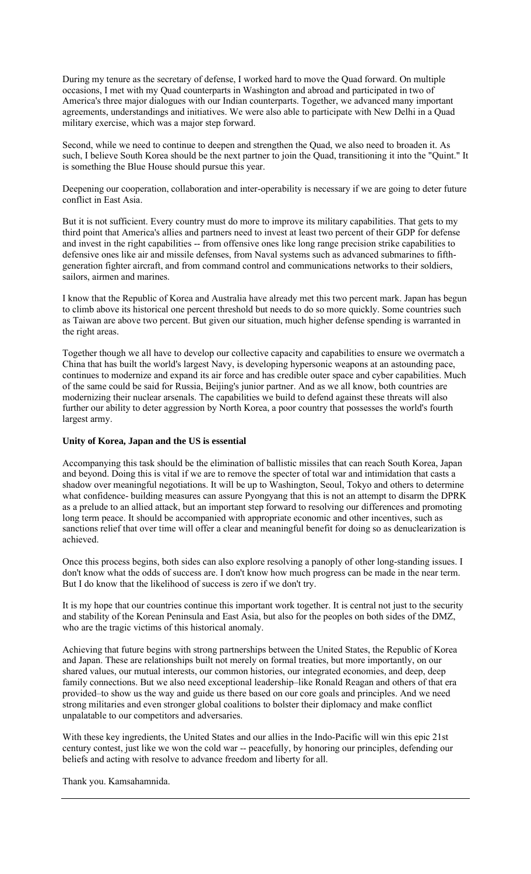During my tenure as the secretary of defense, I worked hard to move the Quad forward. On multiple occasions, I met with my Quad counterparts in Washington and abroad and participated in two of America's three major dialogues with our Indian counterparts. Together, we advanced many important agreements, understandings and initiatives. We were also able to participate with New Delhi in a Quad military exercise, which was a major step forward.

Second, while we need to continue to deepen and strengthen the Quad, we also need to broaden it. As such, I believe South Korea should be the next partner to join the Quad, transitioning it into the "Quint." It is something the Blue House should pursue this year.

Deepening our cooperation, collaboration and inter-operability is necessary if we are going to deter future conflict in East Asia.

But it is not sufficient. Every country must do more to improve its military capabilities. That gets to my third point that America's allies and partners need to invest at least two percent of their GDP for defense and invest in the right capabilities -- from offensive ones like long range precision strike capabilities to defensive ones like air and missile defenses, from Naval systems such as advanced submarines to fifthgeneration fighter aircraft, and from command control and communications networks to their soldiers, sailors, airmen and marines.

I know that the Republic of Korea and Australia have already met this two percent mark. Japan has begun to climb above its historical one percent threshold but needs to do so more quickly. Some countries such as Taiwan are above two percent. But given our situation, much higher defense spending is warranted in the right areas.

Together though we all have to develop our collective capacity and capabilities to ensure we overmatch a China that has built the world's largest Navy, is developing hypersonic weapons at an astounding pace, continues to modernize and expand its air force and has credible outer space and cyber capabilities. Much of the same could be said for Russia, Beijing's junior partner. And as we all know, both countries are modernizing their nuclear arsenals. The capabilities we build to defend against these threats will also further our ability to deter aggression by North Korea, a poor country that possesses the world's fourth largest army.

## **Unity of Korea, Japan and the US is essential**

Accompanying this task should be the elimination of ballistic missiles that can reach South Korea, Japan and beyond. Doing this is vital if we are to remove the specter of total war and intimidation that casts a shadow over meaningful negotiations. It will be up to Washington, Seoul, Tokyo and others to determine what confidence- building measures can assure Pyongyang that this is not an attempt to disarm the DPRK as a prelude to an allied attack, but an important step forward to resolving our differences and promoting long term peace. It should be accompanied with appropriate economic and other incentives, such as sanctions relief that over time will offer a clear and meaningful benefit for doing so as denuclearization is achieved.

Once this process begins, both sides can also explore resolving a panoply of other long-standing issues. I don't know what the odds of success are. I don't know how much progress can be made in the near term. But I do know that the likelihood of success is zero if we don't try.

It is my hope that our countries continue this important work together. It is central not just to the security and stability of the Korean Peninsula and East Asia, but also for the peoples on both sides of the DMZ, who are the tragic victims of this historical anomaly.

Achieving that future begins with strong partnerships between the United States, the Republic of Korea and Japan. These are relationships built not merely on formal treaties, but more importantly, on our shared values, our mutual interests, our common histories, our integrated economies, and deep, deep family connections. But we also need exceptional leadership–like Ronald Reagan and others of that era provided–to show us the way and guide us there based on our core goals and principles. And we need strong militaries and even stronger global coalitions to bolster their diplomacy and make conflict unpalatable to our competitors and adversaries.

With these key ingredients, the United States and our allies in the Indo-Pacific will win this epic 21st century contest, just like we won the cold war -- peacefully, by honoring our principles, defending our beliefs and acting with resolve to advance freedom and liberty for all.

Thank you. Kamsahamnida.